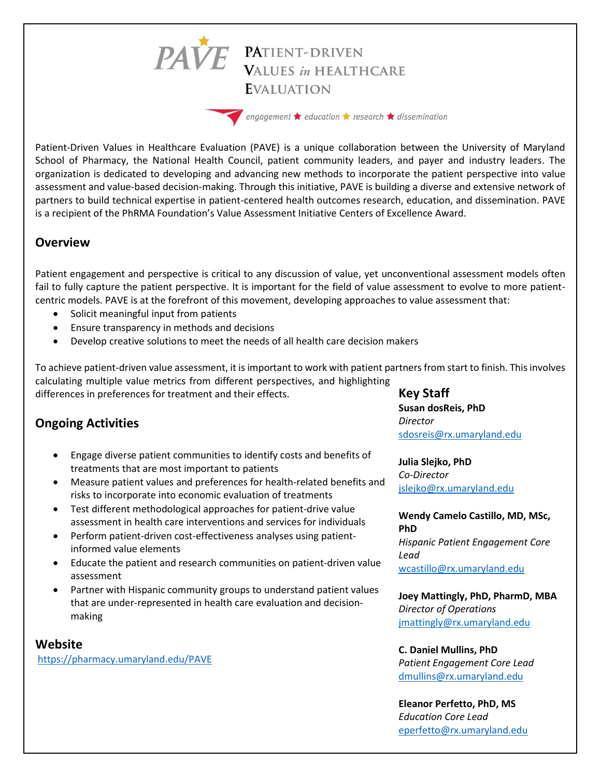# **PAVE** PATIENT-DRIVEN **EVALUATION**

engagement  $\bigstar$  education  $\bigstar$  research  $\bigstar$  dissemination

[Patient-Driven Values in Healthcare Evaluation](https://www.pharmacy.umaryland.edu/centers/patient-driven-values-healthcare-evaluation-pave/) (PAVE) is a unique collaboration between the University of Maryland School of Pharmacy, the National Health Council, patient community leaders, and payer and industry leaders. The organization is dedicated to developing and advancing new methods to incorporate the patient perspective into value assessment and value-based decision-making. Through this initiative, PAVE is building a diverse and extensive network of partners to build technical expertise in patient-centered health outcomes research, education, and dissemination. PAVE is a recipient of the [PhRMA Foundation's Value Assessment Initiative](http://www.phrmafoundation.org/2018-awards/value-assessment-initiative/) Centers of Excellence Award.

## **Overview**

Patient engagement and perspective is critical to any discussion of value, yet unconventional assessment models often fail to fully capture the patient perspective. It is important for the field of value assessment to evolve to more patientcentric models. PAVE is at the forefront of this movement, developing approaches to value assessment that:

- Solicit meaningful input from patients
- Ensure transparency in methods and decisions
- Develop creative solutions to meet the needs of all health care decision makers

To achieve patient-driven value assessment, it is important to work with patient partners from start to finish. This involves calculating multiple value metrics from different perspectives, and highlighting differences in preferences for treatment and their effects.

## **Ongoing Activities**

- Engage diverse patient communities to identify costs and benefits of treatments that are most important to patients
- Measure patient values and preferences for health-related benefits and risks to incorporate into economic evaluation of treatments
- Test different methodological approaches for patient-drive value assessment in health care interventions and services for individuals
- Perform patient-driven cost-effectiveness analyses using patientinformed value elements
- Educate the patient and research communities on patient-driven value assessment
- Partner with Hispanic community groups to understand patient values that are under-represented in health care evaluation and decisionmaking

**Website** [https://pharmacy.umaryland.edu/PAVE](http://www.pharmacy.umaryland.edu/centers/patient-driven-values-healthcare-evaluation-pave/) **Key Staff Susan dosReis, PhD**  *Director* [sdosreis@rx.umaryland.edu](mailto:sdosreis@rx.umaryland.edu)

**Julia Slejko, PhD** *Co-Director* [jslejko@rx.umaryland.edu](mailto:jslejko@rx.umaryland.edu)

**Wendy Camelo Castillo, MD, MSc, PhD** *Hispanic Patient Engagement Core Lead*  [wcastillo@rx.umaryland.edu](mailto:wcastillo@rx.umaryland.edu)

**[Joey Mattingly, PhD, PharmD, MBA](http://faculty.rx.umaryland.edu/tmattingly/)** *Director of Operations*  [jmattingly@rx.umaryland.edu](mailto:jmattingly@rx.umaryland.edu)

**C. Daniel Mullins, PhD** *Patient Engagement Core Lead* [dmullins@rx.umaryland.edu](mailto:dmullins@rx.umaryland.edu)

**Eleanor Perfetto, PhD, MS** *Education Core Lead* [eperfetto@rx.umaryland.edu](mailto:eperfetto@rx.umaryland.edu)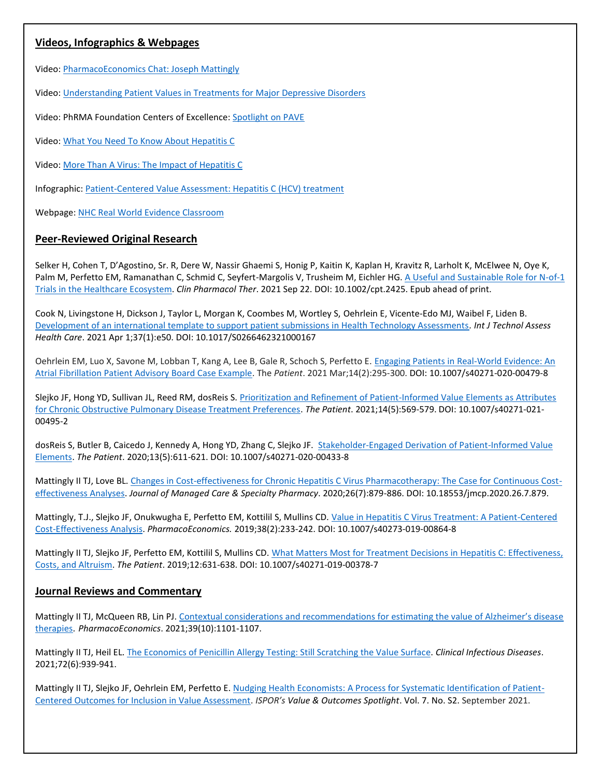### **Videos, Infographics & Webpages**

Video[: PharmacoEconomics Chat: Joseph Mattingly](https://adisjournals.figshare.com/articles/media/PharmacoEconomics_Chat_Joseph_Mattingly/16786345)

Video[: Understanding Patient Values in Treatments for Major Depressive Disorders](https://www.youtube.com/watch?v=_FteoGmgfTA)

Video: PhRMA Foundation Centers of Excellence: [Spotlight on PAVE](http://www.phrmafoundation.org/wp-content/uploads/2020/03/PhRMA-Foundation-1.-PAVE_Feb2020.mp4)

Video: [What You Need To Know About Hepatitis C](https://www.youtube.com/watch?v=pFdgQfCQX-U&feature=youtu.be)

Video[: More Than A Virus: The Impact of Hepatitis C](https://www.youtube.com/watch?v=jbqfo_t2uXI&feature=youtu.be)

Infographic: [Patient-Centered Value Assessment: Hepatitis C \(HCV\) treatment](https://www.pharmacy.umaryland.edu/media/SOP/wwwpharmacyumarylandedu/centers/pave/pdf/pave-hep-c-report-summary.pdf)

Webpage: [NHC Real World Evidence](https://nationalhealthcouncil.org/additional-resources/real-world-evidence-classroom/) Classroom

#### **Peer-Reviewed Original Research**

Selker H, Cohen T, D'Agostino, Sr. R, Dere W, Nassir Ghaemi S, Honig P, Kaitin K, Kaplan H, Kravitz R, Larholt K, McElwee N, Oye K, Palm M, Perfetto EM, Ramanathan C, Schmid C, Seyfert-Margolis V, Trusheim M, Eichler HG[. A Useful and Sustainable Role for N-of-1](https://pubmed.ncbi.nlm.nih.gov/34551122/)  [Trials in the Healthcare Ecosystem.](https://pubmed.ncbi.nlm.nih.gov/34551122/) *Clin Pharmacol Ther*. 2021 Sep 22. DOI: 10.1002/cpt.2425. Epub ahead of print.

Cook N, Livingstone H, Dickson J, Taylor L, Morgan K, Coombes M, Wortley S, Oehrlein E, Vicente-Edo MJ, Waibel F, Liden B. [Development of an international template to support patient submissions in Health Technology Assessments](https://pubmed.ncbi.nlm.nih.gov/33789779/)*. Int J Technol Assess Health Care*. 2021 Apr 1;37(1):e50. DOI: 10.1017/S0266462321000167

Oehrlein EM, Luo X, Savone M, Lobban T, Kang A, Lee B, Gale R, Schoch S, Perfetto E. [Engaging Patients in Real-World Evidence: An](https://pubmed.ncbi.nlm.nih.gov/33355917/)  [Atrial Fibrillation Patient Advisory Board Case Example.](https://pubmed.ncbi.nlm.nih.gov/33355917/) The *Patient*. 2021 Mar;14(2):295-300. DOI: 10.1007/s40271-020-00479-8

Slejko JF, Hong YD, Sullivan JL, Reed RM, dosReis S. [Prioritization and Refinement of Patient-Informed Value Elements as Attributes](https://pubmed.ncbi.nlm.nih.gov/33554310/)  [for Chronic Obstructive Pulmonary Disease Treatment Preferences.](https://pubmed.ncbi.nlm.nih.gov/33554310/) *The Patient*. 2021;14(5):569-579. DOI: 10.1007/s40271-021- 00495-2

dosReis S, Butler B, Caicedo J, Kennedy A, Hong YD, Zhang C, Slejko JF. [Stakeholder-Engaged Derivation of Patient-Informed Value](https://link.springer.com/article/10.1007/s40271-020-00433-8)  [Elements.](https://link.springer.com/article/10.1007/s40271-020-00433-8) *The Patient*. 2020;13(5):611-621. DOI: 10.1007/s40271-020-00433-8

Mattingly II TJ, Love BL. [Changes in Cost-effectiveness for Chronic Hepatitis C Virus Pharmacotherapy: The Case for Continuous Cost](https://www.jmcp.org/doi/full/10.18553/jmcp.2020.26.7.879?mobileUi=0)[effectiveness Analyses.](https://www.jmcp.org/doi/full/10.18553/jmcp.2020.26.7.879?mobileUi=0) *Journal of Managed Care & Specialty Pharmacy*. 2020;26(7):879-886. DOI: 10.18553/jmcp.2020.26.7.879.

Mattingly, T.J., Slejko JF, Onukwugha E, Perfetto EM, Kottilil S, Mullins CD. [Value in Hepatitis C Virus Treatment: A Patient-Centered](https://link.springer.com/epdf/10.1007/s40273-019-00864-8?shared_access_token=sPk6QpcCI11ewcdvezZEYve4RwlQNchNByi7wbcMAY7HHbc6irffhlR5QgjrUUtl-olWarGgSSO4fuhN-9MYk6Ee0HRozhhp9lvmy4Zgm3B2_76fFF1u0OPbPQZyPgw9jZ_U0pOuXLm_p6Vp2HKTZw%3D%3D)  [Cost-Effectiveness Analysis.](https://link.springer.com/epdf/10.1007/s40273-019-00864-8?shared_access_token=sPk6QpcCI11ewcdvezZEYve4RwlQNchNByi7wbcMAY7HHbc6irffhlR5QgjrUUtl-olWarGgSSO4fuhN-9MYk6Ee0HRozhhp9lvmy4Zgm3B2_76fFF1u0OPbPQZyPgw9jZ_U0pOuXLm_p6Vp2HKTZw%3D%3D) *PharmacoEconomics.* 2019;38(2):233-242. DOI: 10.1007/s40273-019-00864-8

Mattingly II TJ, Slejko JF, Perfetto EM, Kottilil S, Mullins CD. What Matters Most for Treatment Decisions in Hepatitis C: Effectiveness, [Costs, and Altruism.](https://link.springer.com/article/10.1007%2Fs40271-019-00378-7) *The Patient*. 2019;12:631-638. DOI: 10.1007/s40271-019-00378-7

#### **Journal Reviews and Commentary**

Mattingly II TJ, McQueen RB, Lin PJ. [Contextual considerations and recommendations for estimating the value of Alzheimer's disease](https://link.springer.com/article/10.1007%2Fs40273-021-01079-6)  [therapies.](https://link.springer.com/article/10.1007%2Fs40273-021-01079-6) *PharmacoEconomics*. 2021;39(10):1101-1107.

Mattingly II TJ, Heil EL[. The Economics of Penicillin Allergy Testing: Still Scratching the Value Surface.](https://academic.oup.com/cid/advance-article-abstract/doi/10.1093/cid/ciaa195/5763112?redirectedFrom=fulltext) *Clinical Infectious Diseases*. 2021;72(6):939-941.

Mattingly II TJ, Slejko JF, Oehrlein EM, Perfetto E. [Nudging Health Economists: A Process for Systematic Identification of Patient-](https://www.ispor.org/publications/journals/value-outcomes-spotlight/vos-archives/issue/view/patients-versus-process-the-data-and-the-drivers-behind-patient-centered-outcomes/nudging-health-economists-a-process-for-systematic-identification-of-patient-centered-outcomes-for-inclusion-in-value-assessment)[Centered Outcomes for Inclusion in Value Assessment.](https://www.ispor.org/publications/journals/value-outcomes-spotlight/vos-archives/issue/view/patients-versus-process-the-data-and-the-drivers-behind-patient-centered-outcomes/nudging-health-economists-a-process-for-systematic-identification-of-patient-centered-outcomes-for-inclusion-in-value-assessment) *ISPOR's Value & Outcomes Spotlight*. Vol. 7. No. S2. September 2021.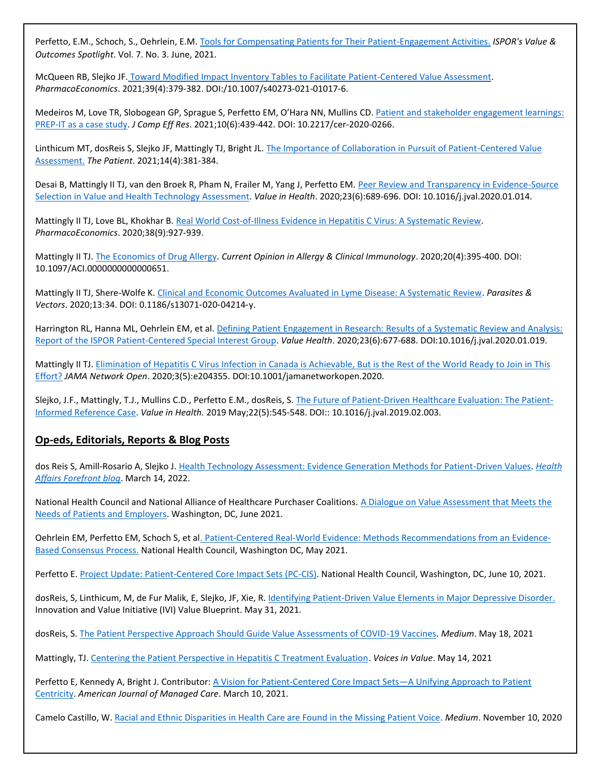Perfetto, E.M., Schoch, S., Oehrlein, E.M[. Tools for Compensating Patients for Their Patient-Engagement Activities.](https://www.ispor.org/publications/journals/value-outcomes-spotlight/vos-archives/issue/view/expanding-the-value-conversation/tools-for-compensating-patients-for-their-patient-engagement-activities?_cldee=c2dyYXlAbmhjb3VuY2lsLm9yZw%3d%3d&recipientid=contact-3d014c98068eea11a2de000c2959e3d7-a86ac7a249474dc192c0cec2cdefa657&esid=0e7f3f39-68d3-eb11-a2f1-000c2959e3d7) *ISPOR's Value & Outcomes Spotlight*. Vol. 7. No. 3. June, 2021.

McQueen RB, Slejko JF. [Toward Modified Impact Inventory Tables to Facilitate Patient-Centered Value Assessment.](https://www.ncbi.nlm.nih.gov/pmc/articles/PMC7987510/) *PharmacoEconomics*. 2021;39(4):379-382. DOI:/10.1007/s40273-021-01017-6.  

Medeiros M, Love TR, Slobogean GP, Sprague S, Perfetto EM, O'Hara NN, Mullins CD. [Patient and stakeholder engagement learnings:](https://doi.org/10.2217/cer-2020-0266)  [PREP-IT as a case study.](https://doi.org/10.2217/cer-2020-0266) *J Comp Eff Res*. 2021;10(6):439-442. DOI: 10.2217/cer-2020-0266.

Linthicum MT, dosReis S, Slejko JF, Mattingly TJ, Bright JL. [The Importance of Collaboration in Pursuit of Patient-Centered Value](https://www.ncbi.nlm.nih.gov/pmc/articles/PMC8205871/)  [Assessment.](https://www.ncbi.nlm.nih.gov/pmc/articles/PMC8205871/) *The Patient*. 2021;14(4):381-384.

Desai B, Mattingly II TJ, van den Broek R, Pham N, Frailer M, Yang J, Perfetto EM. [Peer Review and Transparency in Evidence-Source](https://linkinghub.elsevier.com/retrieve/pii/S1098301520300905)  [Selection in Value and Health Technology Assessment.](https://linkinghub.elsevier.com/retrieve/pii/S1098301520300905) *Value in Health*. 2020;23(6):689-696. DOI: 10.1016/j.jval.2020.01.014.

Mattingly II TJ, Love BL, Khokhar B. Real World Cost-of-Illness Evidence in Hepatitis C Virus: A Systematic Review. *PharmacoEconomics*. 2020;38(9):927-939.

Mattingly II TJ[. The Economics of Drug Allergy.](https://journals.lww.com/co-allergy/Citation/2020/08000/The_economics_of_drug_allergy.12.aspx) *Current Opinion in Allergy & Clinical Immunology*. 2020;20(4):395-400. DOI: 10.1097/ACI.0000000000000651.

Mattingly II TJ, Shere-Wolfe K[. Clinical and Economic Outcomes Avaluated in Lyme Disease: A Systematic Review.](https://link.springer.com/epdf/10.1186/s13071-020-04214-y?sharing_token=Zw18f6Ak7DId-Sxvvi912G_BpE1tBhCbnbw3BuzI2RPEs_5IpiZiptrId8v37fvNJ9_lvtDDjT5tCPpGHmvkaQZoBGFN7RG89NRNzwwbc4lfTxT0hquKSo1b9FScF8Nn6bLF50jXSp0dOxxqSoZW_xtkf9Z5FyhzuTBohyN_8WQ%3D) *Parasites & Vectors*. 2020;13:34. DOI: 0.1186/s13071‑020‑04214‑y.

Harrington RL, Hanna ML, Oehrlein EM, et al. [Defining Patient Engagement in Research: Results of a Systematic Review and Analysis:](https://www.valueinhealthjournal.com/article/S1098-3015(20)30141-8/pdf)  [Report of the ISPOR Patient-Centered Special Interest Group.](https://www.valueinhealthjournal.com/article/S1098-3015(20)30141-8/pdf) *Value Health*. 2020;23(6):677-688. DOI:10.1016/j.jval.2020.01.019.

Mattingly II TJ[. Elimination of Hepatitis C Virus Infection in Canada is Achievable, But is the Rest of the World Ready to Join in This](https://jamanetwork.com/journals/jamanetworkopen/fullarticle/2765569?resultClick=3)  [Effort?](https://jamanetwork.com/journals/jamanetworkopen/fullarticle/2765569?resultClick=3) *JAMA Network Open*. 2020;3(5):e204355. DOI:10.1001/jamanetworkopen.2020.

Slejko, J.F., Mattingly, T.J., Mullins C.D., Perfetto E.M., dosReis, S. [The Future of Patient-Driven Healthcare Evaluation: The Patient-](https://www.valueinhealthjournal.com/article/S1098-3015(19)30117-2/fulltext?_returnURL=https%3A%2F%2Flinkinghub.elsevier.com%2Fretrieve%2Fpii%2FS1098301519301172%3Fshowall%3Dtrue)[Informed Reference Case.](https://www.valueinhealthjournal.com/article/S1098-3015(19)30117-2/fulltext?_returnURL=https%3A%2F%2Flinkinghub.elsevier.com%2Fretrieve%2Fpii%2FS1098301519301172%3Fshowall%3Dtrue) *Value in Health.* 2019 May;22(5):545-548. DOI:: 10.1016/j.jval.2019.02.003.

#### **Op-eds, Editorials, Reports & Blog Posts**

dos Reis S, Amill-Rosario A, Slejko J. [Health Technology Assessment: Evidence Generation Methods for Patient-Driven Values.](https://www.healthaffairs.org/do/10.1377/forefront.20220311.897007/) *[Health](https://www.healthaffairs.org/forefront)  [Affairs Forefront blog](https://www.healthaffairs.org/forefront)*. March 14, 2022.

National Health Council and National Alliance of Healthcare Purchaser Coalitions. [A Dialogue on Value Assessment that Meets the](https://nationalhealthcouncil.org/issue/value/patientemployer)  [Needs of Patients and Employers.](https://nationalhealthcouncil.org/issue/value/patientemployer) Washington, DC, June 2021.

Oehrlein EM, Perfetto EM, Schoch S, et a[l. Patient-Centered Real-World Evidence: Methods Recommendations from an Evidence-](https://nationalhealthcouncil.org/patient-centeredrwe)[Based Consensus Process.](https://nationalhealthcouncil.org/patient-centeredrwe) National Health Council, Washington DC, May 2021.

Perfetto E[. Project Update: Patient-Centered Core Impact Sets \(PC-CIS\).](https://nationalhealthcouncil.org/blog/project-update-patient-centered-core-impact-sets-pc-cis/) National Health Council, Washington, DC, June 10, 2021.

dosReis, S, Linthicum, M, de Fur Malik, E, Slejko, JF, Xie, R. [Identifying Patient-Driven Value Elements in Major Depressive Disorder.](https://www.thevalueinitiative.org/wp-content/uploads/2021/06/2021-06-04.VBP-Major-Depressive-Disorder_FINAL.pdf) Innovation and Value Initiative (IVI) Value Blueprint. May 31, 2021.

dosReis, S. [The Patient Perspective Approach Should Guide Value Assessments of COVID-19 Vaccines.](https://pavecenter.medium.com/the-patient-perspective-approach-should-guide-value-assessments-of-covid-19-vaccines-5497a3c7e3df) *Medium*. May 18, 2021

Mattingly, TJ. [Centering the Patient Perspective in Hepatitis C Treatment Evaluation.](http://www.phrmafoundation.org/2021/05/centering-the-patient-perspective-in-hepatitis-c-treatment-evaluation/) *Voices in Value*. May 14, 2021

Perfetto E, Kennedy A, Bright J. Contributor: [A Vision for Patient-Centered Core Impact Sets](https://www.ajmc.com/view/contributor-a-vision-for-patient-centered-core-impact-sets-a-unifying-approach-to-patient-centricity)—A Unifying Approach to Patient [Centricity.](https://www.ajmc.com/view/contributor-a-vision-for-patient-centered-core-impact-sets-a-unifying-approach-to-patient-centricity) *American Journal of Managed Care*. March 10, 2021.

Camelo Castillo, W. [Racial and Ethnic Disparities in Health Care are Found in the Missing Patient Voice.](https://pavecenter.medium.com/racial-and-ethnic-disparities-in-health-care-are-found-in-the-missing-patient-voice-84b030cd19ef) *Medium*. November 10, 2020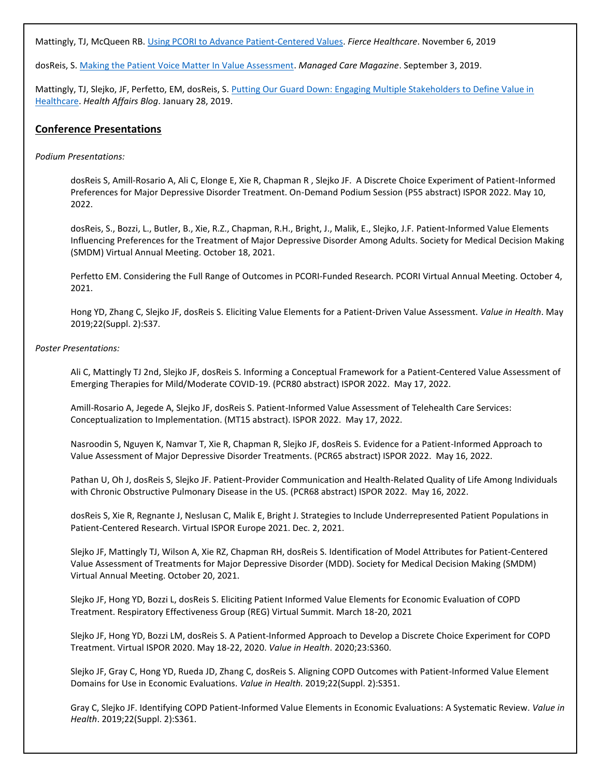Mattingly, TJ, McQueen RB[. Using PCORI to Advance Patient-Centered Values.](https://www.fiercehealthcare.com/hospitals-health-systems/industry-voices-we-need-to-move-from-patient-centered-outcomes-to-patient) *Fierce Healthcare*. November 6, 2019

dosReis, S. [Making the Patient Voice Matter In Value Assessment.](https://www.managedcaremag.com/archives/2019/9/making-patient-voice-matter-value-assessment) *Managed Care Magazine*. September 3, 2019.

Mattingly, TJ, Slejko, JF, Perfetto, EM, dosReis, S. Putting Our Guard Down: Engaging Multiple Stakeholders to Define Value in [Healthcare.](https://www.healthaffairs.org/do/10.1377/hblog20190125.84658/full/) *Health Affairs Blog*. January 28, 2019.

#### **Conference Presentations**

*Podium Presentations:*

dosReis S, Amill-Rosario A, Ali C, Elonge E, Xie R, Chapman R , Slejko JF. A Discrete Choice Experiment of Patient-Informed Preferences for Major Depressive Disorder Treatment. On-Demand Podium Session (P55 abstract) ISPOR 2022. May 10, 2022.

dosReis, S., Bozzi, L., Butler, B., Xie, R.Z., Chapman, R.H., Bright, J., Malik, E., Slejko, J.F. Patient-Informed Value Elements Influencing Preferences for the Treatment of Major Depressive Disorder Among Adults. Society for Medical Decision Making (SMDM) Virtual Annual Meeting. October 18, 2021.

Perfetto EM. Considering the Full Range of Outcomes in PCORI-Funded Research. PCORI Virtual Annual Meeting. October 4, 2021.

Hong YD, Zhang C, Slejko JF, dosReis S. Eliciting Value Elements for a Patient-Driven Value Assessment. *Value in Health*. May 2019;22(Suppl. 2):S37.

*Poster Presentations:*

Ali C, Mattingly TJ 2nd, Slejko JF, dosReis S. Informing a Conceptual Framework for a Patient-Centered Value Assessment of Emerging Therapies for Mild/Moderate COVID-19. (PCR80 abstract) ISPOR 2022. May 17, 2022.

Amill-Rosario A, Jegede A, Slejko JF, dosReis S. Patient-Informed Value Assessment of Telehealth Care Services: Conceptualization to Implementation. (MT15 abstract). ISPOR 2022. May 17, 2022.

Nasroodin S, Nguyen K, Namvar T, Xie R, Chapman R, Slejko JF, dosReis S. Evidence for a Patient-Informed Approach to Value Assessment of Major Depressive Disorder Treatments. (PCR65 abstract) ISPOR 2022. May 16, 2022.

Pathan U, Oh J, dosReis S, Slejko JF. Patient-Provider Communication and Health-Related Quality of Life Among Individuals with Chronic Obstructive Pulmonary Disease in the US. (PCR68 abstract) ISPOR 2022. May 16, 2022.

dosReis S, Xie R, Regnante J, Neslusan C, Malik E, Bright J. Strategies to Include Underrepresented Patient Populations in Patient-Centered Research. Virtual ISPOR Europe 2021. Dec. 2, 2021.

Slejko JF, Mattingly TJ, Wilson A, Xie RZ, Chapman RH, dosReis S. Identification of Model Attributes for Patient-Centered Value Assessment of Treatments for Major Depressive Disorder (MDD). Society for Medical Decision Making (SMDM) Virtual Annual Meeting. October 20, 2021.

Slejko JF, Hong YD, Bozzi L, dosReis S. Eliciting Patient Informed Value Elements for Economic Evaluation of COPD Treatment. Respiratory Effectiveness Group (REG) Virtual Summit. March 18-20, 2021

Slejko JF, Hong YD, Bozzi LM, dosReis S. A Patient-Informed Approach to Develop a Discrete Choice Experiment for COPD Treatment. Virtual ISPOR 2020. May 18-22, 2020. *Value in Health*. 2020;23:S360.

Slejko JF, Gray C, Hong YD, Rueda JD, Zhang C, dosReis S. Aligning COPD Outcomes with Patient-Informed Value Element Domains for Use in Economic Evaluations. *Value in Health.* 2019;22(Suppl. 2):S351.

Gray C, Slejko JF. Identifying COPD Patient-Informed Value Elements in Economic Evaluations: A Systematic Review. *Value in Health*. 2019;22(Suppl. 2):S361.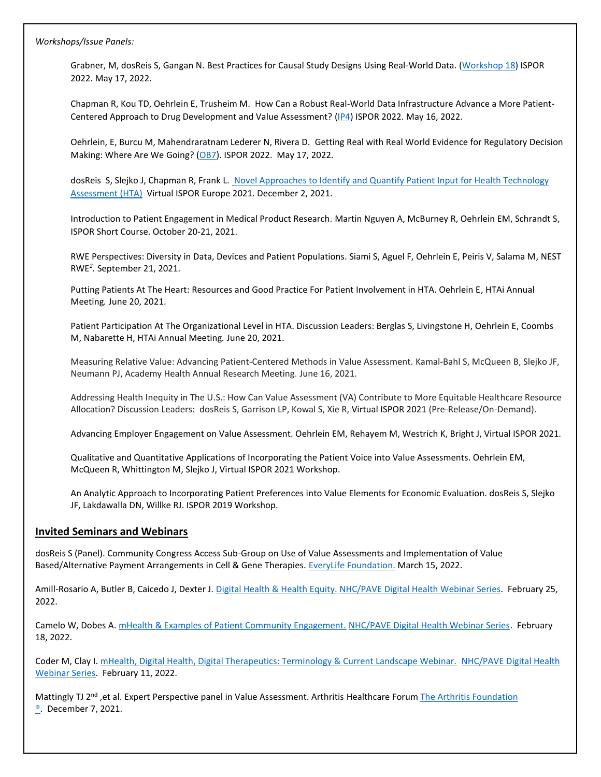*Workshops/Issue Panels:*

Grabner, M, dosReis S, Gangan N. Best Practices for Causal Study Designs Using Real-World Data. [\(Workshop 18\)](https://www.ispor.org/heor-resources/presentations-database/presentation/intl2022-3442/13626) ISPOR 2022. May 17, 2022.

Chapman R, Kou TD, Oehrlein E, Trusheim M. How Can a Robust Real-World Data Infrastructure Advance a More Patient-Centered Approach to Drug Development and Value Assessment? [\(IP4\)](https://www.ispor.org/heor-resources/presentations-database/presentation/intl2022-3447/13888) ISPOR 2022. May 16, 2022.

Oehrlein, E, Burcu M, Mahendraratnam Lederer N, Rivera D. Getting Real with Real World Evidence for Regulatory Decision Making: Where Are We Going? [\(OB7\)](https://www.ispor.org/heor-resources/presentations-database/presentation/intl2022-3435/13876). ISPOR 2022. May 17, 2022.

dosReis S, Slejko J, Chapman R, Frank L. [Novel Approaches to Identify and Quantify Patient Input for Health Technology](https://www.ispor.org/docs/default-source/euro2021/europe21chapman.pdf?sfvrsn=94e3110c_0)  [Assessment \(HTA\)](https://www.ispor.org/docs/default-source/euro2021/europe21chapman.pdf?sfvrsn=94e3110c_0) Virtual ISPOR Europe 2021. December 2, 2021.

Introduction to Patient Engagement in Medical Product Research. Martin Nguyen A, McBurney R, Oehrlein EM, Schrandt S, ISPOR Short Course. October 20-21, 2021.

RWE Perspectives: Diversity in Data, Devices and Patient Populations. Siami S, Aguel F, Oehrlein E, Peiris V, Salama M, NEST RWE*<sup>2</sup> .* September 21, 2021.

Putting Patients At The Heart: Resources and Good Practice For Patient Involvement in HTA. Oehrlein E, HTAi Annual Meeting*.* June 20, 2021.

Patient Participation At The Organizational Level in HTA. Discussion Leaders: Berglas S, Livingstone H, Oehrlein E, Coombs M, Nabarette H, HTAi Annual Meeting*.* June 20, 2021.

Measuring Relative Value: Advancing Patient-Centered Methods in Value Assessment. Kamal-Bahl S, McQueen B, Slejko JF, Neumann PJ, Academy Health Annual Research Meeting. June 16, 2021.

Addressing Health Inequity in The U.S.: How Can Value Assessment (VA) Contribute to More Equitable Healthcare Resource Allocation? Discussion Leaders:  dosReis S, Garrison LP, Kowal S, Xie R, Virtual ISPOR 2021 (Pre-Release/On-Demand).

Advancing Employer Engagement on Value Assessment. Oehrlein EM, Rehayem M, Westrich K, Bright J, Virtual ISPOR 2021.

Qualitative and Quantitative Applications of Incorporating the Patient Voice into Value Assessments. Oehrlein EM, McQueen R, Whittington M, Slejko J, Virtual ISPOR 2021 Workshop.

An Analytic Approach to Incorporating Patient Preferences into Value Elements for Economic Evaluation. dosReis S, Slejko JF, Lakdawalla DN, Willke RJ. ISPOR 2019 Workshop.

#### **Invited Seminars and Webinars**

dosReis S (Panel). Community Congress Access Sub-Group on Use of Value Assessments and Implementation of Value Based/Alternative Payment Arrangements in Cell & Gene Therapies. [EveryLife Foundation.](https://everylifefoundation.org/) March 15, 2022.

Amill-Rosario A, Butler B, Caicedo J, Dexter J. [Digital Health & Health Equity.](https://www.youtube.com/watch?v=aFKkrArrdPk) [NHC/PAVE Digital Health Webinar Series.](https://www.pharmacy.umaryland.edu/centers/patient-driven-values-healthcare-evaluation-pave/education-dissemination/) February 25, 2022.

Camelo W, Dobes A. [mHealth & Examples of Patient Community Engagement.](https://www.youtube.com/watch?v=dUaigEjfZmc) [NHC/PAVE Digital Health Webinar Series.](https://www.pharmacy.umaryland.edu/centers/patient-driven-values-healthcare-evaluation-pave/education-dissemination/) February 18, 2022.

Coder M, Clay I[. mHealth, Digital Health, Digital Therapeutics: Terminology & Current Landscape Webinar.](https://www.youtube.com/watch?v=kiIZsZh5dxM) [NHC/PAVE Digital Health](https://www.pharmacy.umaryland.edu/centers/patient-driven-values-healthcare-evaluation-pave/education-dissemination/)  [Webinar Series.](https://www.pharmacy.umaryland.edu/centers/patient-driven-values-healthcare-evaluation-pave/education-dissemination/) February 11, 2022.

Mattingly TJ 2<sup>nd</sup>, et al. Expert Perspective panel in Value Assessment. Arthritis Healthcare Forum The Arthritis Foundation [®.](https://www.arthritis.org/about-us) December 7, 2021.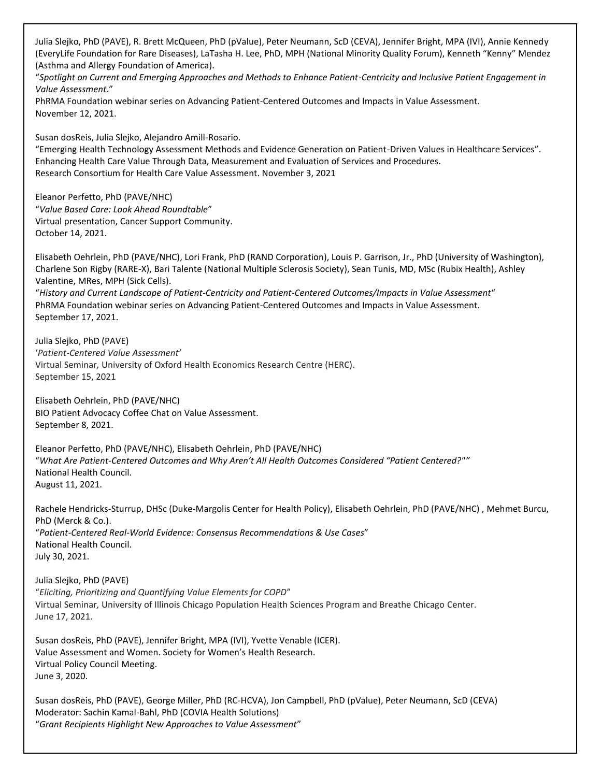Julia Slejko, PhD (PAVE), R. Brett McQueen, PhD (pValue), Peter Neumann, ScD (CEVA), Jennifer Bright, MPA (IVI), Annie Kennedy (EveryLife Foundation for Rare Diseases), LaTasha H. Lee, PhD, MPH (National Minority Quality Forum), Kenneth "Kenny" Mendez (Asthma and Allergy Foundation of America). 

"*Spotlight on Current and Emerging Approaches and Methods to Enhance Patient-Centricity and Inclusive Patient Engagement in Value Assessment*." 

PhRMA Foundation webinar series on Advancing Patient-Centered Outcomes and Impacts in Value Assessment.  November 12, 2021.

Susan dosReis, Julia Slejko, Alejandro Amill-Rosario.

"Emerging Health Technology Assessment Methods and Evidence Generation on Patient-Driven Values in Healthcare Services". Enhancing Health Care Value Through Data, Measurement and Evaluation of Services and Procedures. Research Consortium for Health Care Value Assessment. November 3, 2021

Eleanor Perfetto, PhD (PAVE/NHC) "*Value Based Care: Look Ahead Roundtable*" Virtual presentation, Cancer Support Community. October 14, 2021.

Elisabeth Oehrlein, PhD (PAVE/NHC), Lori Frank, PhD (RAND Corporation), Louis P. Garrison, Jr., PhD (University of Washington), Charlene Son Rigby (RARE-X), Bari Talente (National Multiple Sclerosis Society), Sean Tunis, MD, MSc (Rubix Health), Ashley Valentine, MRes, MPH (Sick Cells).

"*History and Current Landscape of Patient-Centricity and Patient-Centered Outcomes/Impacts in Value Assessment*" PhRMA Foundation webinar series on Advancing Patient-Centered Outcomes and Impacts in Value Assessment. September 17, 2021.

Julia Slejko, PhD (PAVE)  '*Patient-Centered Value Assessment'* Virtual Seminar*,* University of Oxford Health Economics Research Centre (HERC). September 15, 2021

Elisabeth Oehrlein, PhD (PAVE/NHC) BIO Patient Advocacy Coffee Chat on Value Assessment. September 8, 2021.

Eleanor Perfetto, PhD (PAVE/NHC), Elisabeth Oehrlein, PhD (PAVE/NHC) "*What Are Patient-Centered Outcomes and Why Aren't All Health Outcomes Considered "Patient Centered?""* National Health Council. August 11, 2021.

Rachele Hendricks-Sturrup, DHSc (Duke-Margolis Center for Health Policy), Elisabeth Oehrlein, PhD (PAVE/NHC) , Mehmet Burcu, PhD (Merck & Co.). "*Patient-Centered Real-World Evidence: Consensus Recommendations & Use Cases*" National Health Council. July 30, 2021.

Julia Slejko, PhD (PAVE)  "*Eliciting, Prioritizing and Quantifying Value Elements for COPD*" Virtual Seminar*,* University of Illinois Chicago Population Health Sciences Program and Breathe Chicago Center. June 17, 2021.

Susan dosReis, PhD (PAVE), Jennifer Bright, MPA (IVI), Yvette Venable (ICER). Value Assessment and Women. Society for Women's Health Research. Virtual Policy Council Meeting. June 3, 2020.

Susan dosReis, PhD (PAVE), George Miller, PhD (RC-HCVA), Jon Campbell, PhD (pValue), Peter Neumann, ScD (CEVA) Moderator: Sachin Kamal-Bahl, PhD (COVIA Health Solutions) "*Grant Recipients Highlight New Approaches to Value Assessment*"